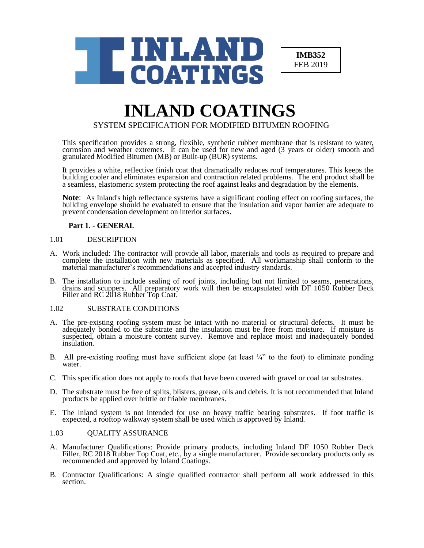

**IMB352** FEB 2019

# **INLAND COATINGS**

SYSTEM SPECIFICATION FOR MODIFIED BITUMEN ROOFING

This specification provides a strong, flexible, synthetic rubber membrane that is resistant to water, corrosion and weather extremes. It can be used for new and aged (3 years or older) smooth and granulated Modified Bitumen (MB) or Built-up (BUR) systems.

It provides a white, reflective finish coat that dramatically reduces roof temperatures. This keeps the building cooler and eliminates expansion and contraction related problems. The end product shall be a seamless, elastomeric system protecting the roof against leaks and degradation by the elements.

**Note**: As Inland's high reflectance systems have a significant cooling effect on roofing surfaces, the building envelope should be evaluated to ensure that the insulation and vapor barrier are adequate to prevent condensation development on interior surfaces.

# **Part 1. - GENERAL**

# 1.01 DESCRIPTION

- A. Work included: The contractor will provide all labor, materials and tools as required to prepare and complete the installation with new materials as specified. All workmanship shall conform to the material manufacturer's recommendations and accepted industry standards.
- B. The installation to include sealing of roof joints, including but not limited to seams, penetrations, drains and scuppers. All preparatory work will then be encapsulated with DF 1050 Rubber Deck Filler and RC 2018 Rubber Top Coat.

# 1.02 SUBSTRATE CONDITIONS

- A. The pre-existing roofing system must be intact with no material or structural defects. It must be adequately bonded to the substrate and the insulation must be free from moisture. If moisture is suspected, obtain a moisture content survey. Remove and replace moist and inadequately bonded insulation.
- B. All pre-existing roofing must have sufficient slope (at least  $\frac{1}{4}$ " to the foot) to eliminate ponding water.
- C. This specification does not apply to roofs that have been covered with gravel or coal tar substrates.
- D. The substrate must be free of splits, blisters, grease, oils and debris. It is not recommended that Inland products be applied over brittle or friable membranes.
- E. The Inland system is not intended for use on heavy traffic bearing substrates. If foot traffic is expected, a rooftop walkway system shall be used which is approved by Inland.

# 1.03 QUALITY ASSURANCE

- A. Manufacturer Qualifications: Provide primary products, including Inland DF 1050 Rubber Deck Filler, RC 2018 Rubber Top Coat, etc., by a single manufacturer. Provide secondary products only as recommended and approved by Inland Coatings.
- B. Contractor Qualifications: A single qualified contractor shall perform all work addressed in this section.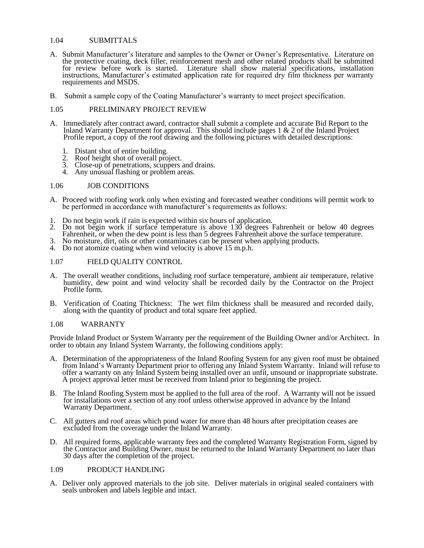# 1.04 SUBMITTALS

- A. Submit Manufacturer's literature and samples to the Owner or Owner's Representative. Literature on the protective coating, deck filler, reinforcement mesh and other related products shall be submitted for review before work is started. Literature shall show material specifications, installation instructions, Manufacturer's estimated application rate for required dry film thickness per warranty requirements and MSDS.
- B. Submit a sample copy of the Coating Manufacturer's warranty to meet project specification.

# 1.05 PRELIMINARY PROJECT REVIEW

- A. Immediately after contract award, contractor shall submit a complete and accurate Bid Report to the Inland Warranty Department for approval. This should include pages 1 & 2 of the Inland Project Profile report, a copy of the roof drawing and the following pictures with detailed descriptions:
	- 1. Distant shot of entire building.
	- 2. Roof height shot of overall project.
	- 3. Close-up of penetrations, scuppers and drains.
	- 4. Any unusual flashing or problem areas.

#### 1.06 JOB CONDITIONS

- A. Proceed with roofing work only when existing and forecasted weather conditions will permit work to be performed in accordance with manufacturer's requirements as follows:
- 1. Do not begin work if rain is expected within six hours of application.
- 2. Do not begin work if surface temperature is above 130 degrees Fahrenheit or below 40 degrees Fahrenheit, or when the dew point is less than 5 degrees Fahrenheit above the surface temperature.
- 3. No moisture, dirt, oils or other contaminates can be present when applying products.
- 4. Do not atomize coating when wind velocity is above 15 m.p.h.

# 1.07 FIELD QUALITY CONTROL

- A. The overall weather conditions, including roof surface temperature, ambient air temperature, relative humidity, dew point and wind velocity shall be recorded daily by the Contractor on the Project Profile form.
- B. Verification of Coating Thickness: The wet film thickness shall be measured and recorded daily, along with the quantity of product and total square feet applied.

#### 1.08 WARRANTY

Provide Inland Product or System Warranty per the requirement of the Building Owner and/or Architect. In order to obtain any Inland System Warranty, the following conditions apply:

- A. Determination of the appropriateness of the Inland Roofing System for any given roof must be obtained from Inland's Warranty Department prior to offering any Inland System Warranty. Inland will refuse to offer a warranty on any Inland System being installed over an unfit, unsound or inappropriate substrate. A project approval letter must be received from Inland prior to beginning the project.
- B. The Inland Roofing System must be applied to the full area of the roof. A Warranty will not be issued for installations over a section of any roof unless otherwise approved in advance by the Inland Warranty Department.
- C. All gutters and roof areas which pond water for more than 48 hours after precipitation ceases are excluded from the coverage under the Inland Warranty.
- D. All required forms, applicable warranty fees and the completed Warranty Registration Form, signed by the Contractor and Building Owner, must be returned to the Inland Warranty Department no later than 30 days after the completion of the project.

# 1.09 PRODUCT HANDLING

A. Deliver only approved materials to the job site. Deliver materials in original sealed containers with seals unbroken and labels legible and intact.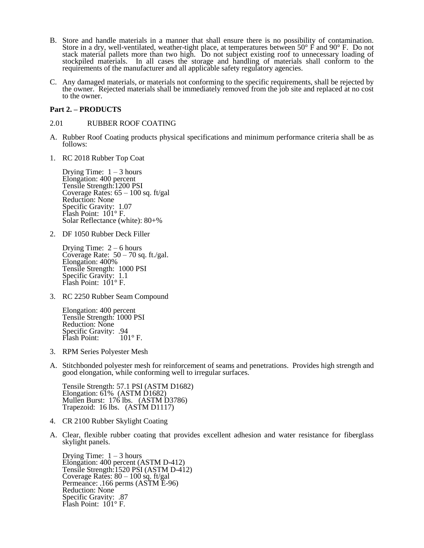- B. Store and handle materials in a manner that shall ensure there is no possibility of contamination. Store in a dry, well-ventilated, weather-tight place, at temperatures between 50 $\degree$  F and 90 $\degree$  F. Do not stack material pallets more than two high. Do not subject existing roof to unnecessary loading of stockpiled materials. In all cases the storage and handling of materials shall conform to the requirements of the manufacturer and all applicable safety regulatory agencies.
- C. Any damaged materials, or materials not conforming to the specific requirements, shall be rejected by the owner. Rejected materials shall be immediately removed from the job site and replaced at no cost to the owner.

# **Part 2. – PRODUCTS**

#### 2.01 RUBBER ROOF COATING

- A. Rubber Roof Coating products physical specifications and minimum performance criteria shall be as follows:
- 1. RC 2018 Rubber Top Coat

Drying Time:  $1 - 3$  hours Elongation: 400 percent Tensile Strength:1200 PSI Coverage Rates:  $65 - 100$  sq. ft/gal Reduction: None Specific Gravity: 1.07 Flash Point: 101° F. Solar Reflectance (white): 80+%

2. DF 1050 Rubber Deck Filler

Drying Time:  $2 - 6$  hours Coverage Rate:  $50 - 70$  sq. ft./gal. Elongation: 400% Tensile Strength: 1000 PSI Specific Gravity: 1.1 Flash Point: 101° F.

3. RC 2250 Rubber Seam Compound

Elongation: 400 percent Tensile Strength: 1000 PSI Reduction: None Specific Gravity: .94<br>Flash Point: 101°F. Flash Point:

- 3. RPM Series Polyester Mesh
- A. Stitchbonded polyester mesh for reinforcement of seams and penetrations. Provides high strength and good elongation, while conforming well to irregular surfaces.

Tensile Strength: 57.1 PSI (ASTM D1682) Elongation: 61% (ASTM D1682) Mullen Burst: 176 lbs. (ASTM D3786) Trapezoid: 16 lbs. (ASTM D1117)

- 4. CR 2100 Rubber Skylight Coating
- A. Clear, flexible rubber coating that provides excellent adhesion and water resistance for fiberglass skylight panels.

Drying Time:  $1 - 3$  hours Elongation: 400 percent (ASTM D-412) Tensile Strength:1520 PSI (ASTM D-412) Coverage Rates:  $80 - 100$  sq. ft/gal Permeance: .166 perms (ASTM E-96) Reduction: None Specific Gravity: .87 Flash Point: 101° F.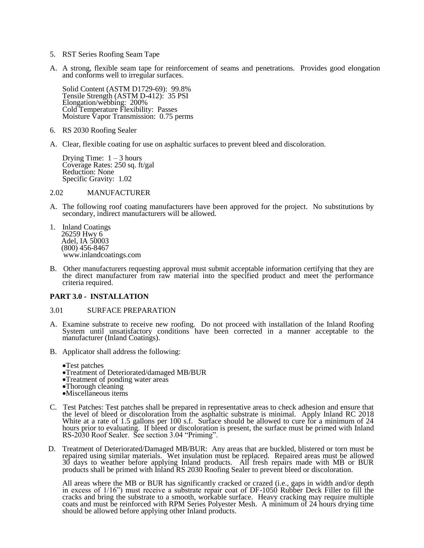- 5. RST Series Roofing Seam Tape
- A. A strong, flexible seam tape for reinforcement of seams and penetrations. Provides good elongation and conforms well to irregular surfaces.

Solid Content (ASTM D1729-69): 99.8% Tensile Strength (ASTM D-412): 35 PSI Elongation/webbing: 200% Cold Temperature Flexibility: Passes Moisture Vapor Transmission: 0.75 perms

- 6. RS 2030 Roofing Sealer
- A. Clear, flexible coating for use on asphaltic surfaces to prevent bleed and discoloration.

Drying Time:  $1 - 3$  hours Coverage Rates: 250 sq. ft/gal Reduction: None Specific Gravity: 1.02

2.02 MANUFACTURER

- A. The following roof coating manufacturers have been approved for the project. No substitutions by secondary, indirect manufacturers will be allowed.
- 1. Inland Coatings 26259 Hwy 6 Adel, IA 50003 (800) 456-8467 www.inlandcoatings.com
- B. Other manufacturers requesting approval must submit acceptable information certifying that they are the direct manufacturer from raw material into the specified product and meet the performance criteria required.

#### **PART 3.0 - INSTALLATION**

#### 3.01 SURFACE PREPARATION

- A. Examine substrate to receive new roofing. Do not proceed with installation of the Inland Roofing System until unsatisfactory conditions have been corrected in a manner acceptable to the manufacturer (Inland Coatings).
- B. Applicator shall address the following:

•Test patches

- •Treatment of Deteriorated/damaged MB/BUR
- •Treatment of ponding water areas
- •Thorough cleaning
- •Miscellaneous items
- C. Test Patches: Test patches shall be prepared in representative areas to check adhesion and ensure that the level of bleed or discoloration from the asphaltic substrate is minimal. Apply Inland RC 2018 White at a rate of 1.5 gallons per 100 s.f. Surface should be allowed to cure for a minimum of 24 hours prior to evaluating. If bleed or discoloration is present, the surface must be primed with Inland RS-2030 Roof Sealer. See section 3.04 "Priming".
- D. Treatment of Deteriorated/Damaged MB/BUR: Any areas that are buckled, blistered or torn must be repaired using similar materials. Wet insulation must be replaced. Repaired areas must be allowed 30 days to weather before applying Inland products. All fresh repairs made with MB or BUR products shall be primed with Inland RS 2030 Roofing Sealer to prevent bleed or discoloration.

All areas where the MB or BUR has significantly cracked or crazed (i.e., gaps in width and/or depth in excess of 1/16") must receive a substrate repair coat of DF-1050 Rubber Deck Filler to fill the cracks and bring the substrate to a smooth, workable surface. Heavy cracking may require multiple coats and must be reinforced with RPM Series Polyester Mesh. A minimum of 24 hours drying time should be allowed before applying other Inland products.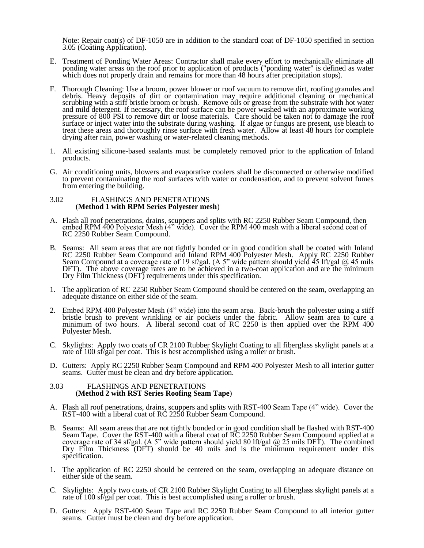Note: Repair coat(s) of DF-1050 are in addition to the standard coat of DF-1050 specified in section 3.05 (Coating Application).

- E. Treatment of Ponding Water Areas: Contractor shall make every effort to mechanically eliminate all ponding water areas on the roof prior to application of products ("ponding water" is defined as water which does not properly drain and remains for more than 48 hours after precipitation stops).
- F. Thorough Cleaning: Use a broom, power blower or roof vacuum to remove dirt, roofing granules and debris. Heavy deposits of dirt or contamination may require additional cleaning or mechanical scrubbing with a stiff bristle broom or brush. Remove oils or grease from the substrate with hot water and mild detergent. If necessary, the roof surface can be power washed with an approximate working pressure of 800 PSI to remove dirt or loose materials. Care should be taken not to damage the roof surface or inject water into the substrate during washing. If algae or fungus are present, use bleach to treat these areas and thoroughly rinse surface with fresh water. Allow at least 48 hours for complete drying after rain, power washing or water-related cleaning methods.
- 1. All existing silicone-based sealants must be completely removed prior to the application of Inland products.
- G. Air conditioning units, blowers and evaporative coolers shall be disconnected or otherwise modified to prevent contaminating the roof surfaces with water or condensation, and to prevent solvent fumes from entering the building.

#### 3.02 FLASHINGS AND PENETRATIONS (**Method 1 with RPM Series Polyester mesh**)

- A. Flash all roof penetrations, drains, scuppers and splits with RC 2250 Rubber Seam Compound, then embed RPM 400 Polyester Mesh (4" wide). Cover the RPM 400 mesh with a liberal second coat of RC 2250 Rubber Seam Compound.
- B. Seams: All seam areas that are not tightly bonded or in good condition shall be coated with Inland RC 2250 Rubber Seam Compound and Inland RPM 400 Polyester Mesh. Apply RC 2250 Rubber Seam Compound at a coverage rate of 19 sf/gal. (A 5" wide pattern should yield 45 lft/gal  $@$  45 mils DFT). The above coverage rates are to be achieved in a two-coat application and are the minimum Dry Film Thickness (DFT) requirements under this specification.
- 1. The application of RC 2250 Rubber Seam Compound should be centered on the seam, overlapping an adequate distance on either side of the seam.
- 2. Embed RPM 400 Polyester Mesh (4" wide) into the seam area. Back-brush the polyester using a stiff bristle brush to prevent wrinkling or air pockets under the fabric. Allow seam area to cure a minimum of two hours. A liberal second coat of RC 2250 is then applied over the RPM 400 Polyester Mesh.
- C. Skylights: Apply two coats of CR 2100 Rubber Skylight Coating to all fiberglass skylight panels at a rate of 100 sf/gal per coat. This is best accomplished using a roller or brush.
- D. Gutters: Apply RC 2250 Rubber Seam Compound and RPM 400 Polyester Mesh to all interior gutter seams. Gutter must be clean and dry before application.

#### 3.03 FLASHINGS AND PENETRATIONS (**Method 2 with RST Series Roofing Seam Tape**)

- A. Flash all roof penetrations, drains, scuppers and splits with RST-400 Seam Tape (4" wide). Cover the RST-400 with a liberal coat of RC 2250 Rubber Seam Compound.
- B. Seams: All seam areas that are not tightly bonded or in good condition shall be flashed with RST-400 Seam Tape. Cover the RST-400 with a liberal coat of RC 2250 Rubber Seam Compound applied at a coverage rate of 34 sf/gal. (A 5" wide pattern should yield 80 lft/gal  $@$  25 mils DFT). The combined Dry Film Thickness (DFT) should be 40 mils and is the minimum requirement under this specification.
- 1. The application of RC 2250 should be centered on the seam, overlapping an adequate distance on either side of the seam.
- C. Skylights: Apply two coats of CR 2100 Rubber Skylight Coating to all fiberglass skylight panels at a rate of 100 sf/gal per coat. This is best accomplished using a roller or brush.
- D. Gutters: Apply RST-400 Seam Tape and RC 2250 Rubber Seam Compound to all interior gutter seams. Gutter must be clean and dry before application.